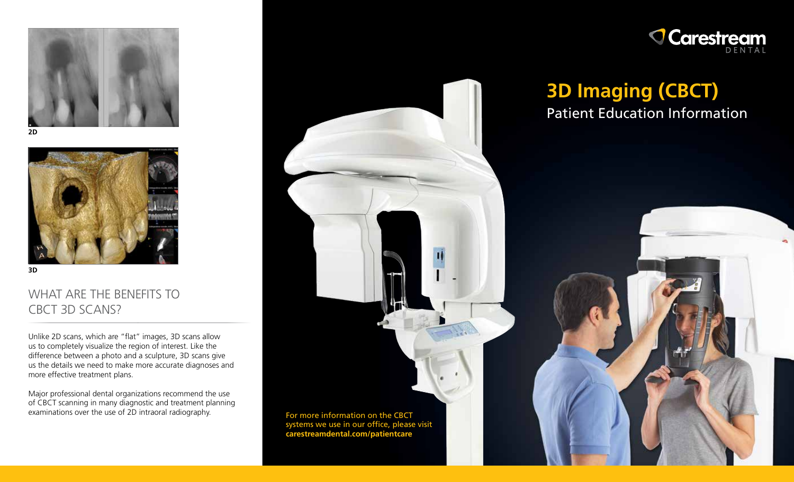





**3D**

# WHAT ARE THE BENEFITS TO CBCT 3D SCANS?

Unlike 2D scans, which are "flat" images, 3D scans allow us to completely visualize the region of interest. Like the difference between a photo and a sculpture, 3D scans give us the details we need to make more accurate diagnoses and more effective treatment plans.

Major professional dental organizations recommend the use of CBCT scanning in many diagnostic and treatment planning examinations over the use of 2D intraoral radiography.





# **3D Imaging (CBCT)** Patient Education Information